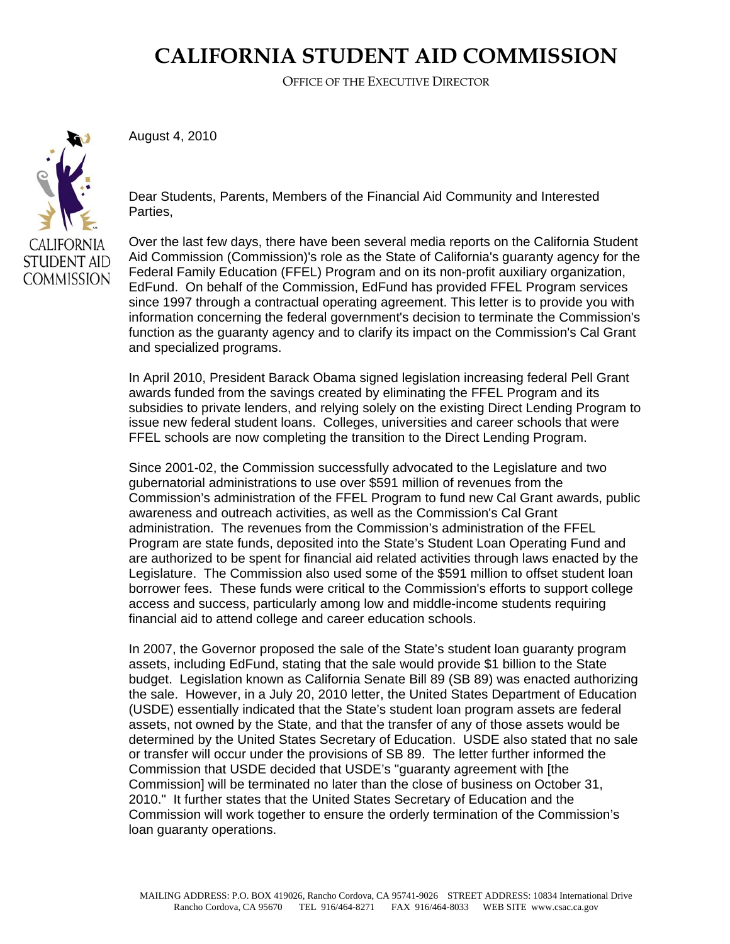## **CALIFORNIA STUDENT AID COMMISSION**

OFFICE OF THE EXECUTIVE DIRECTOR

CALIFORNIA. **STUDENT AID COMMISSION**  August 4, 2010

Dear Students, Parents, Members of the Financial Aid Community and Interested Parties,

Over the last few days, there have been several media reports on the California Student Aid Commission (Commission)'s role as the State of California's guaranty agency for the Federal Family Education (FFEL) Program and on its non-profit auxiliary organization, EdFund. On behalf of the Commission, EdFund has provided FFEL Program services since 1997 through a contractual operating agreement. This letter is to provide you with information concerning the federal government's decision to terminate the Commission's function as the guaranty agency and to clarify its impact on the Commission's Cal Grant and specialized programs.

In April 2010, President Barack Obama signed legislation increasing federal Pell Grant awards funded from the savings created by eliminating the FFEL Program and its subsidies to private lenders, and relying solely on the existing Direct Lending Program to issue new federal student loans. Colleges, universities and career schools that were FFEL schools are now completing the transition to the Direct Lending Program.

Since 2001-02, the Commission successfully advocated to the Legislature and two gubernatorial administrations to use over \$591 million of revenues from the Commission's administration of the FFEL Program to fund new Cal Grant awards, public awareness and outreach activities, as well as the Commission's Cal Grant administration. The revenues from the Commission's administration of the FFEL Program are state funds, deposited into the State's Student Loan Operating Fund and are authorized to be spent for financial aid related activities through laws enacted by the Legislature. The Commission also used some of the \$591 million to offset student loan borrower fees. These funds were critical to the Commission's efforts to support college access and success, particularly among low and middle-income students requiring financial aid to attend college and career education schools.

In 2007, the Governor proposed the sale of the State's student loan guaranty program assets, including EdFund, stating that the sale would provide \$1 billion to the State budget. Legislation known as California Senate Bill 89 (SB 89) was enacted authorizing the sale. However, in a July 20, 2010 letter, the United States Department of Education (USDE) essentially indicated that the State's student loan program assets are federal assets, not owned by the State, and that the transfer of any of those assets would be determined by the United States Secretary of Education. USDE also stated that no sale or transfer will occur under the provisions of SB 89. The letter further informed the Commission that USDE decided that USDE's "guaranty agreement with [the Commission] will be terminated no later than the close of business on October 31, 2010." It further states that the United States Secretary of Education and the Commission will work together to ensure the orderly termination of the Commission's loan guaranty operations.